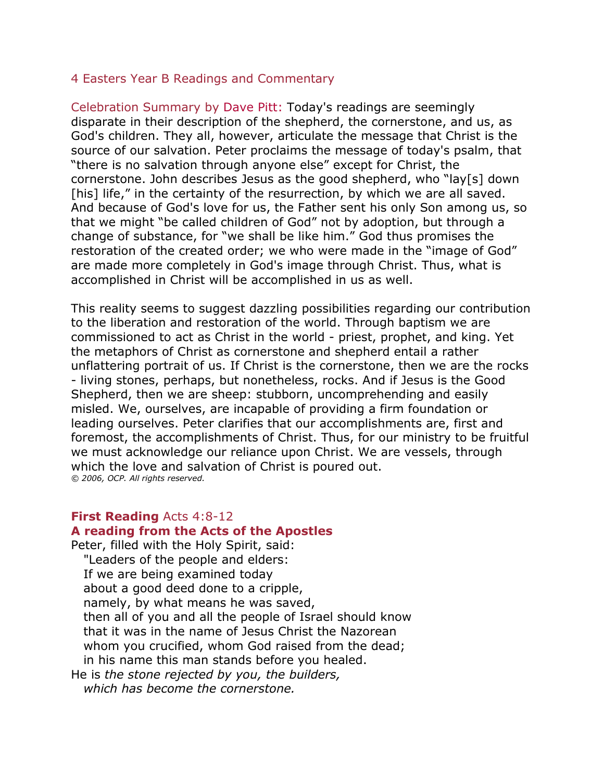#### 4 Easters Year B Readings and Commentary

Celebration Summary by [Dave Pitt:](http://www.liturgy.com/home/authors.php?authorID=22) Today's readings are seemingly disparate in their description of the shepherd, the cornerstone, and us, as God's children. They all, however, articulate the message that Christ is the source of our salvation. Peter proclaims the message of today's psalm, that "there is no salvation through anyone else" except for Christ, the cornerstone. John describes Jesus as the good shepherd, who "lay[s] down [his] life," in the certainty of the resurrection, by which we are all saved. And because of God's love for us, the Father sent his only Son among us, so that we might "be called children of God" not by adoption, but through a change of substance, for "we shall be like him." God thus promises the restoration of the created order; we who were made in the "image of God" are made more completely in God's image through Christ. Thus, what is accomplished in Christ will be accomplished in us as well.

This reality seems to suggest dazzling possibilities regarding our contribution to the liberation and restoration of the world. Through baptism we are commissioned to act as Christ in the world - priest, prophet, and king. Yet the metaphors of Christ as cornerstone and shepherd entail a rather unflattering portrait of us. If Christ is the cornerstone, then we are the rocks - living stones, perhaps, but nonetheless, rocks. And if Jesus is the Good Shepherd, then we are sheep: stubborn, uncomprehending and easily misled. We, ourselves, are incapable of providing a firm foundation or leading ourselves. Peter clarifies that our accomplishments are, first and foremost, the accomplishments of Christ. Thus, for our ministry to be fruitful we must acknowledge our reliance upon Christ. We are vessels, through which the love and salvation of Christ is poured out. *© 2006, OCP. All rights reserved.*

#### **First Reading** Acts 4:8-12

#### **A reading from the Acts of the Apostles**

Peter, filled with the Holy Spirit, said: "Leaders of the people and elders: If we are being examined today about a good deed done to a cripple, namely, by what means he was saved, then all of you and all the people of Israel should know that it was in the name of Jesus Christ the Nazorean whom you crucified, whom God raised from the dead; in his name this man stands before you healed. He is *the stone rejected by you, the builders, which has become the cornerstone.*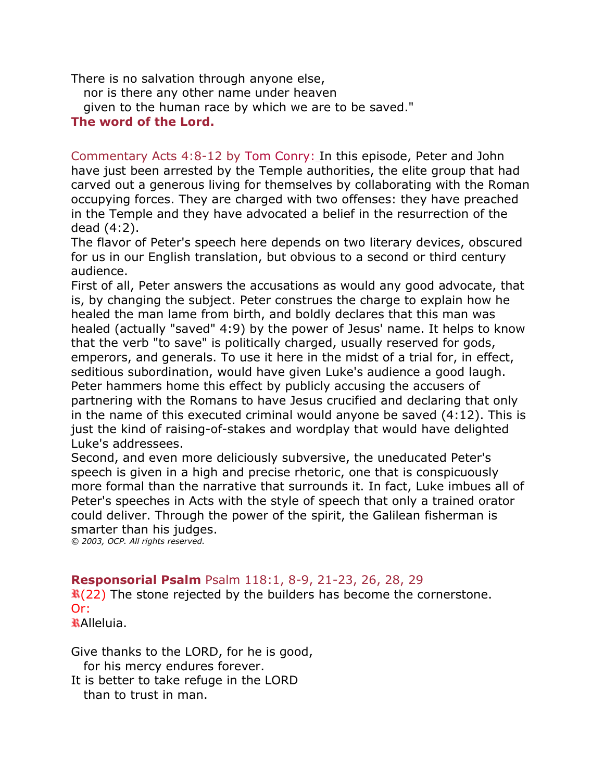There is no salvation through anyone else,

nor is there any other name under heaven

given to the human race by which we are to be saved."

#### **The word of the Lord.**

Commentary Acts 4:8-12 by [Tom Conry:](http://www.liturgy.com/home/authors.php?authorID=185) In this episode, Peter and John have just been arrested by the Temple authorities, the elite group that had carved out a generous living for themselves by collaborating with the Roman occupying forces. They are charged with two offenses: they have preached in the Temple and they have advocated a belief in the resurrection of the dead (4:2).

The flavor of Peter's speech here depends on two literary devices, obscured for us in our English translation, but obvious to a second or third century audience.

First of all, Peter answers the accusations as would any good advocate, that is, by changing the subject. Peter construes the charge to explain how he healed the man lame from birth, and boldly declares that this man was healed (actually "saved" 4:9) by the power of Jesus' name. It helps to know that the verb "to save" is politically charged, usually reserved for gods, emperors, and generals. To use it here in the midst of a trial for, in effect, seditious subordination, would have given Luke's audience a good laugh. Peter hammers home this effect by publicly accusing the accusers of partnering with the Romans to have Jesus crucified and declaring that only in the name of this executed criminal would anyone be saved (4:12). This is just the kind of raising-of-stakes and wordplay that would have delighted Luke's addressees.

Second, and even more deliciously subversive, the uneducated Peter's speech is given in a high and precise rhetoric, one that is conspicuously more formal than the narrative that surrounds it. In fact, Luke imbues all of Peter's speeches in Acts with the style of speech that only a trained orator could deliver. Through the power of the spirit, the Galilean fisherman is smarter than his judges.

*© 2003, OCP. All rights reserved.*

## **Responsorial Psalm** Psalm 118:1, 8-9, 21-23, 26, 28, 29

 $\mathbf{R}(22)$  The stone rejected by the builders has become the cornerstone. Or:

Alleluia.

Give thanks to the LORD, for he is good, for his mercy endures forever.

It is better to take refuge in the LORD than to trust in man.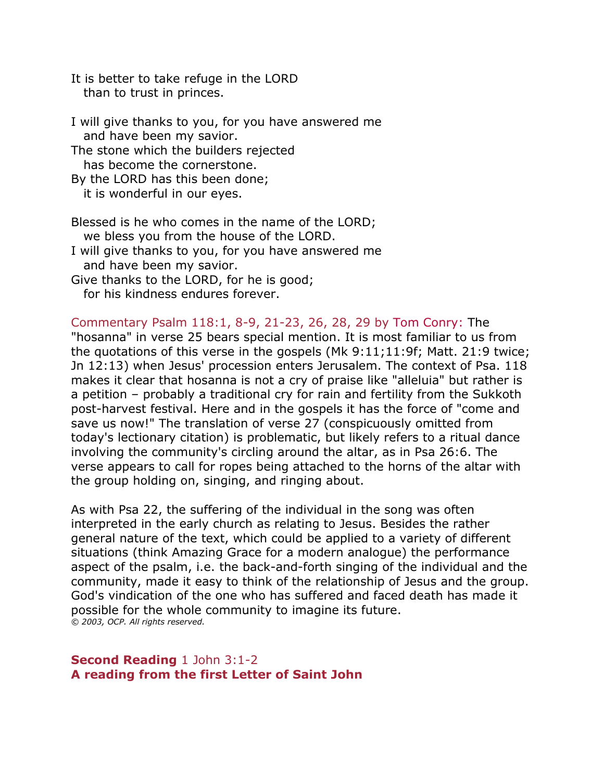It is better to take refuge in the LORD than to trust in princes.

I will give thanks to you, for you have answered me and have been my savior. The stone which the builders rejected has become the cornerstone. By the LORD has this been done; it is wonderful in our eyes. Blessed is he who comes in the name of the LORD;

 we bless you from the house of the LORD. I will give thanks to you, for you have answered me and have been my savior.

Give thanks to the LORD, for he is good; for his kindness endures forever.

Commentary Psalm 118:1, 8-9, 21-23, 26, 28, 29 by [Tom Conry:](http://www.liturgy.com/home/authors.php?authorID=185) The "hosanna" in verse 25 bears special mention. It is most familiar to us from the quotations of this verse in the gospels (Mk 9:11;11:9f; Matt. 21:9 twice; Jn 12:13) when Jesus' procession enters Jerusalem. The context of Psa. 118 makes it clear that hosanna is not a cry of praise like "alleluia" but rather is a petition – probably a traditional cry for rain and fertility from the Sukkoth post-harvest festival. Here and in the gospels it has the force of "come and save us now!" The translation of verse 27 (conspicuously omitted from today's lectionary citation) is problematic, but likely refers to a ritual dance involving the community's circling around the altar, as in Psa 26:6. The verse appears to call for ropes being attached to the horns of the altar with the group holding on, singing, and ringing about.

As with Psa 22, the suffering of the individual in the song was often interpreted in the early church as relating to Jesus. Besides the rather general nature of the text, which could be applied to a variety of different situations (think Amazing Grace for a modern analogue) the performance aspect of the psalm, i.e. the back-and-forth singing of the individual and the community, made it easy to think of the relationship of Jesus and the group. God's vindication of the one who has suffered and faced death has made it possible for the whole community to imagine its future. *© 2003, OCP. All rights reserved.*

**Second Reading** 1 John 3:1-2 **A reading from the first Letter of Saint John**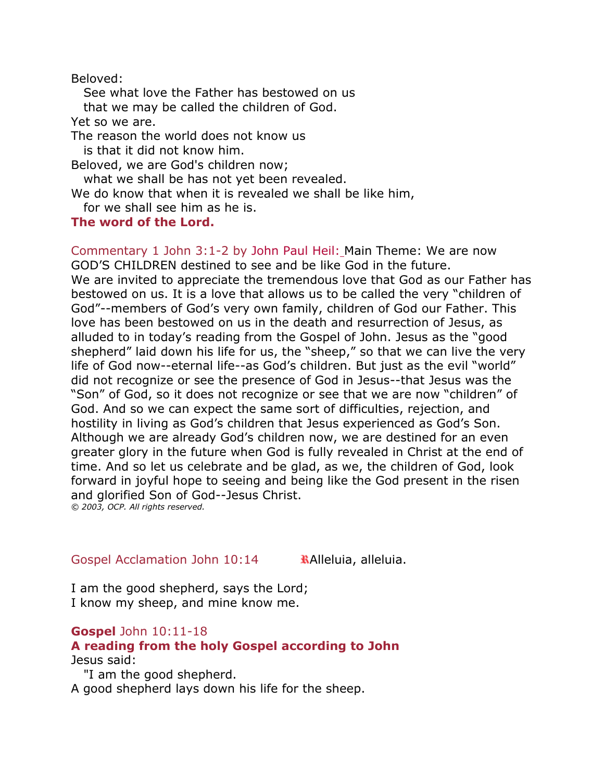Beloved:

 See what love the Father has bestowed on us that we may be called the children of God. Yet so we are. The reason the world does not know us is that it did not know him. Beloved, we are God's children now; what we shall be has not yet been revealed.

We do know that when it is revealed we shall be like him, for we shall see him as he is.

## **The word of the Lord.**

Commentary 1 John 3:1-2 by [John Paul Heil:](http://www.liturgy.com/home/authors.php?authorID=6) Main Theme: We are now GOD'S CHILDREN destined to see and be like God in the future. We are invited to appreciate the tremendous love that God as our Father has bestowed on us. It is a love that allows us to be called the very "children of God"--members of God's very own family, children of God our Father. This love has been bestowed on us in the death and resurrection of Jesus, as alluded to in today's reading from the Gospel of John. Jesus as the "good shepherd" laid down his life for us, the "sheep," so that we can live the very life of God now--eternal life--as God's children. But just as the evil "world" did not recognize or see the presence of God in Jesus--that Jesus was the "Son" of God, so it does not recognize or see that we are now "children" of God. And so we can expect the same sort of difficulties, rejection, and hostility in living as God's children that Jesus experienced as God's Son. Although we are already God's children now, we are destined for an even greater glory in the future when God is fully revealed in Christ at the end of time. And so let us celebrate and be glad, as we, the children of God, look forward in joyful hope to seeing and being like the God present in the risen and glorified Son of God--Jesus Christ. *© 2003, OCP. All rights reserved.*

Gospel Acclamation John  $10:14$  **Alleluia, alleluia.** 

I am the good shepherd, says the Lord; I know my sheep, and mine know me.

## **Gospel** John 10:11-18

# **A reading from the holy Gospel according to John** Jesus said:

 "I am the good shepherd. A good shepherd lays down his life for the sheep.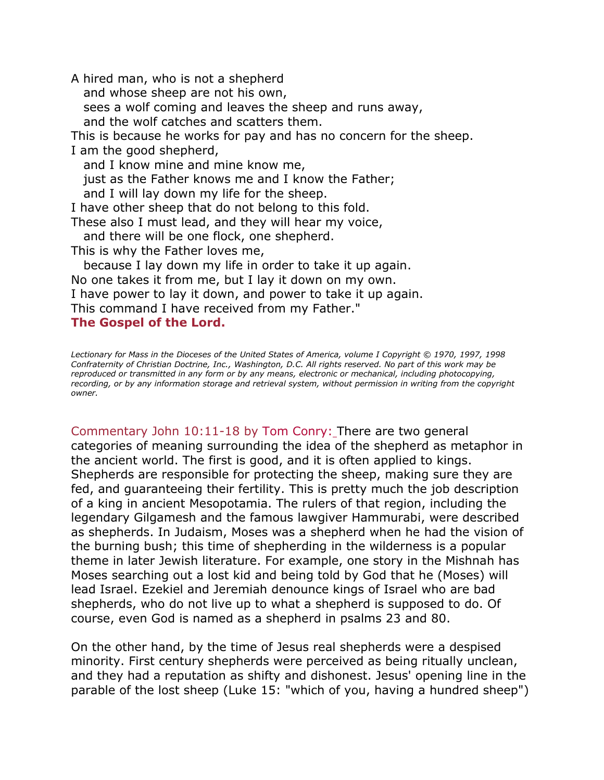A hired man, who is not a shepherd and whose sheep are not his own, sees a wolf coming and leaves the sheep and runs away, and the wolf catches and scatters them. This is because he works for pay and has no concern for the sheep. I am the good shepherd, and I know mine and mine know me, just as the Father knows me and I know the Father; and I will lay down my life for the sheep. I have other sheep that do not belong to this fold. These also I must lead, and they will hear my voice, and there will be one flock, one shepherd. This is why the Father loves me, because I lay down my life in order to take it up again. No one takes it from me, but I lay it down on my own. I have power to lay it down, and power to take it up again. This command I have received from my Father." **The Gospel of the Lord.** 

*Lectionary for Mass in the Dioceses of the United States of America, volume I Copyright © 1970, 1997, 1998 Confraternity of Christian Doctrine, Inc., Washington, D.C. All rights reserved. No part of this work may be reproduced or transmitted in any form or by any means, electronic or mechanical, including photocopying, recording, or by any information storage and retrieval system, without permission in writing from the copyright owner.*

Commentary John 10:11-18 by [Tom Conry:](http://www.liturgy.com/home/authors.php?authorID=185) There are two general categories of meaning surrounding the idea of the shepherd as metaphor in the ancient world. The first is good, and it is often applied to kings. Shepherds are responsible for protecting the sheep, making sure they are fed, and guaranteeing their fertility. This is pretty much the job description of a king in ancient Mesopotamia. The rulers of that region, including the legendary Gilgamesh and the famous lawgiver Hammurabi, were described as shepherds. In Judaism, Moses was a shepherd when he had the vision of the burning bush; this time of shepherding in the wilderness is a popular theme in later Jewish literature. For example, one story in the Mishnah has Moses searching out a lost kid and being told by God that he (Moses) will lead Israel. Ezekiel and Jeremiah denounce kings of Israel who are bad shepherds, who do not live up to what a shepherd is supposed to do. Of course, even God is named as a shepherd in psalms 23 and 80.

On the other hand, by the time of Jesus real shepherds were a despised minority. First century shepherds were perceived as being ritually unclean, and they had a reputation as shifty and dishonest. Jesus' opening line in the parable of the lost sheep (Luke 15: "which of you, having a hundred sheep")